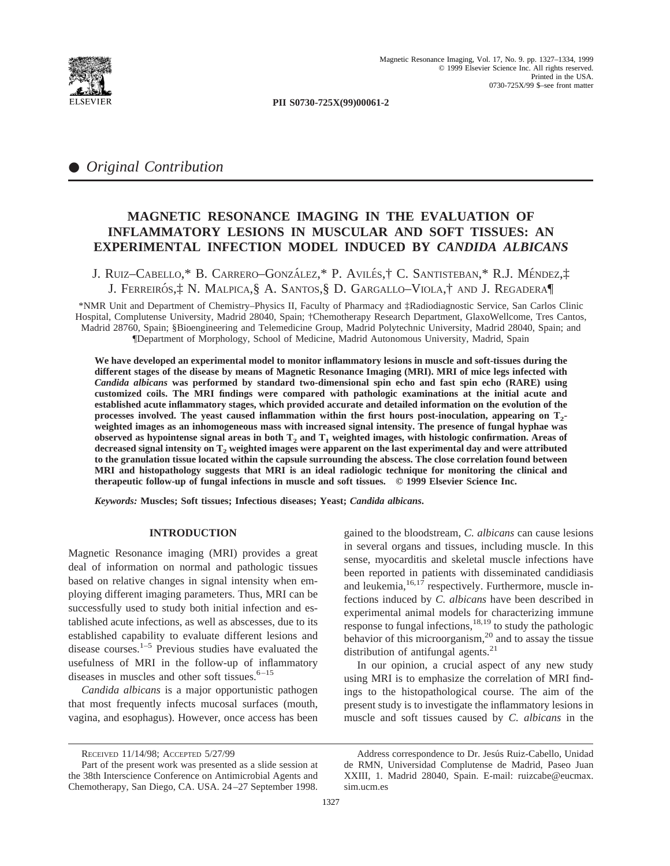

**PII S0730-725X(99)00061-2**

# ● *Original Contribution*

## **MAGNETIC RESONANCE IMAGING IN THE EVALUATION OF INFLAMMATORY LESIONS IN MUSCULAR AND SOFT TISSUES: AN EXPERIMENTAL INFECTION MODEL INDUCED BY** *CANDIDA ALBICANS*

J. RUIZ–CABELLO,\* B. CARRERO–GONZÁLEZ,\* P. AVILÉS,† C. SANTISTEBAN,\* R.J. MÉNDEZ, $\ddot{i}$ J. FERREIRÓS,<sup>†</sup> N. MALPICA,§ A. SANTOS,§ D. GARGALLO–VIOLA,<sup>†</sup> AND J. REGADERA¶

\*NMR Unit and Department of Chemistry–Physics II, Faculty of Pharmacy and ‡Radiodiagnostic Service, San Carlos Clinic Hospital, Complutense University, Madrid 28040, Spain; †Chemotherapy Research Department, GlaxoWellcome, Tres Cantos, Madrid 28760, Spain; §Bioengineering and Telemedicine Group, Madrid Polytechnic University, Madrid 28040, Spain; and ¶Department of Morphology, School of Medicine, Madrid Autonomous University, Madrid, Spain

**We have developed an experimental model to monitor inflammatory lesions in muscle and soft-tissues during the different stages of the disease by means of Magnetic Resonance Imaging (MRI). MRI of mice legs infected with** *Candida albicans* **was performed by standard two-dimensional spin echo and fast spin echo (RARE) using customized coils. The MRI findings were compared with pathologic examinations at the initial acute and established acute inflammatory stages, which provided accurate and detailed information on the evolution of the processes involved. The yeast caused inflammation within the first hours post-inoculation, appearing on T2 weighted images as an inhomogeneous mass with increased signal intensity. The presence of fungal hyphae was observed as hypointense signal areas in both T2 and T1 weighted images, with histologic confirmation. Areas of decreased signal intensity on T2 weighted images were apparent on the last experimental day and were attributed to the granulation tissue located within the capsule surrounding the abscess. The close correlation found between MRI and histopathology suggests that MRI is an ideal radiologic technique for monitoring the clinical and therapeutic follow-up of fungal infections in muscle and soft tissues. © 1999 Elsevier Science Inc.**

*Keywords:* **Muscles; Soft tissues; Infectious diseases; Yeast;** *Candida albicans***.**

## **INTRODUCTION**

Magnetic Resonance imaging (MRI) provides a great deal of information on normal and pathologic tissues based on relative changes in signal intensity when employing different imaging parameters. Thus, MRI can be successfully used to study both initial infection and established acute infections, as well as abscesses, due to its established capability to evaluate different lesions and disease courses. $1-5$  Previous studies have evaluated the usefulness of MRI in the follow-up of inflammatory diseases in muscles and other soft tissues. $6-15$ 

*Candida albicans* is a major opportunistic pathogen that most frequently infects mucosal surfaces (mouth, vagina, and esophagus). However, once access has been gained to the bloodstream, *C. albicans* can cause lesions in several organs and tissues, including muscle. In this sense, myocarditis and skeletal muscle infections have been reported in patients with disseminated candidiasis and leukemia, $16,17$  respectively. Furthermore, muscle infections induced by *C. albicans* have been described in experimental animal models for characterizing immune response to fungal infections, $18,19$  to study the pathologic behavior of this microorganism, $^{20}$  and to assay the tissue distribution of antifungal agents. $21$ 

In our opinion, a crucial aspect of any new study using MRI is to emphasize the correlation of MRI findings to the histopathological course. The aim of the present study is to investigate the inflammatory lesions in muscle and soft tissues caused by *C. albicans* in the

RECEIVED 11/14/98; ACCEPTED 5/27/99

Part of the present work was presented as a slide session at the 38th Interscience Conference on Antimicrobial Agents and Chemotherapy, San Diego, CA. USA. 24–27 September 1998.

Address correspondence to Dr. Jesús Ruiz-Cabello, Unidad de RMN, Universidad Complutense de Madrid, Paseo Juan XXIII, 1. Madrid 28040, Spain. E-mail: ruizcabe@eucmax. sim.ucm.es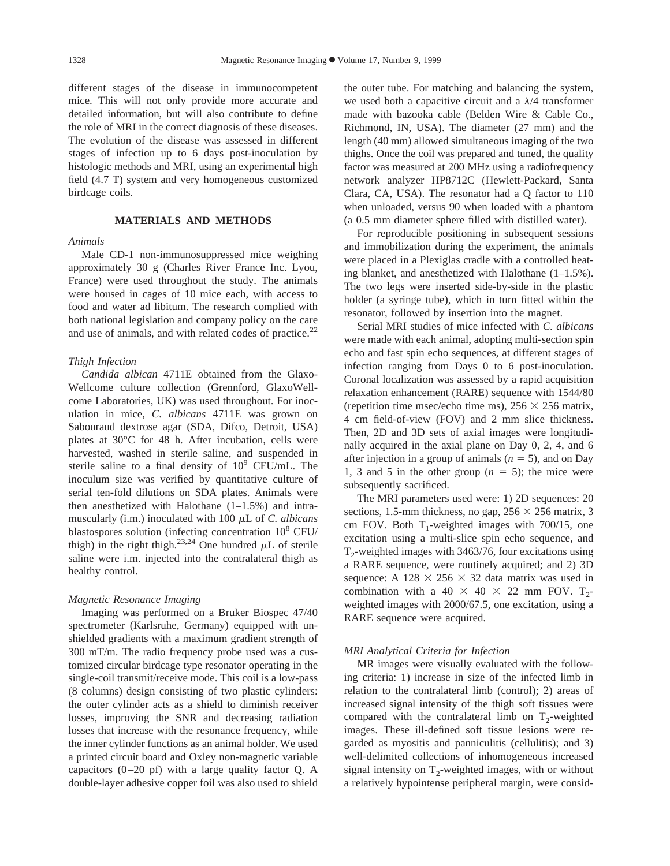different stages of the disease in immunocompetent mice. This will not only provide more accurate and detailed information, but will also contribute to define the role of MRI in the correct diagnosis of these diseases. The evolution of the disease was assessed in different stages of infection up to 6 days post-inoculation by histologic methods and MRI, using an experimental high field (4.7 T) system and very homogeneous customized birdcage coils.

## **MATERIALS AND METHODS**

## *Animals*

Male CD-1 non-immunosuppressed mice weighing approximately 30 g (Charles River France Inc. Lyou, France) were used throughout the study. The animals were housed in cages of 10 mice each, with access to food and water ad libitum. The research complied with both national legislation and company policy on the care and use of animals, and with related codes of practice.<sup>22</sup>

## *Thigh Infection*

*Candida albican* 4711E obtained from the Glaxo-Wellcome culture collection (Grennford, GlaxoWellcome Laboratories, UK) was used throughout. For inoculation in mice, *C. albicans* 4711E was grown on Sabouraud dextrose agar (SDA, Difco, Detroit, USA) plates at 30°C for 48 h. After incubation, cells were harvested, washed in sterile saline, and suspended in sterile saline to a final density of  $10^9$  CFU/mL. The inoculum size was verified by quantitative culture of serial ten-fold dilutions on SDA plates. Animals were then anesthetized with Halothane  $(1-1.5%)$  and intramuscularly (i.m.) inoculated with 100  $\mu$ L of *C. albicans* blastospores solution (infecting concentration  $10^8$  CFU/ thigh) in the right thigh.<sup>23,24</sup> One hundred  $\mu$ L of sterile saline were i.m. injected into the contralateral thigh as healthy control.

#### *Magnetic Resonance Imaging*

Imaging was performed on a Bruker Biospec 47/40 spectrometer (Karlsruhe, Germany) equipped with unshielded gradients with a maximum gradient strength of 300 mT/m. The radio frequency probe used was a customized circular birdcage type resonator operating in the single-coil transmit/receive mode. This coil is a low-pass (8 columns) design consisting of two plastic cylinders: the outer cylinder acts as a shield to diminish receiver losses, improving the SNR and decreasing radiation losses that increase with the resonance frequency, while the inner cylinder functions as an animal holder. We used a printed circuit board and Oxley non-magnetic variable capacitors  $(0-20 \text{ pf})$  with a large quality factor Q. A double-layer adhesive copper foil was also used to shield the outer tube. For matching and balancing the system, we used both a capacitive circuit and a  $\lambda/4$  transformer made with bazooka cable (Belden Wire & Cable Co., Richmond, IN, USA). The diameter (27 mm) and the length (40 mm) allowed simultaneous imaging of the two thighs. Once the coil was prepared and tuned, the quality factor was measured at 200 MHz using a radiofrequency network analyzer HP8712C (Hewlett-Packard, Santa Clara, CA, USA). The resonator had a Q factor to 110 when unloaded, versus 90 when loaded with a phantom (a 0.5 mm diameter sphere filled with distilled water).

For reproducible positioning in subsequent sessions and immobilization during the experiment, the animals were placed in a Plexiglas cradle with a controlled heating blanket, and anesthetized with Halothane (1–1.5%). The two legs were inserted side-by-side in the plastic holder (a syringe tube), which in turn fitted within the resonator, followed by insertion into the magnet.

Serial MRI studies of mice infected with *C. albicans* were made with each animal, adopting multi-section spin echo and fast spin echo sequences, at different stages of infection ranging from Days 0 to 6 post-inoculation. Coronal localization was assessed by a rapid acquisition relaxation enhancement (RARE) sequence with 1544/80 (repetition time msec/echo time ms),  $256 \times 256$  matrix, 4 cm field-of-view (FOV) and 2 mm slice thickness. Then, 2D and 3D sets of axial images were longitudinally acquired in the axial plane on Day 0, 2, 4, and 6 after injection in a group of animals  $(n = 5)$ , and on Day 1, 3 and 5 in the other group  $(n = 5)$ ; the mice were subsequently sacrificed.

The MRI parameters used were: 1) 2D sequences: 20 sections, 1.5-mm thickness, no gap,  $256 \times 256$  matrix, 3 cm FOV. Both  $T_1$ -weighted images with 700/15, one excitation using a multi-slice spin echo sequence, and  $T<sub>2</sub>$ -weighted images with 3463/76, four excitations using a RARE sequence, were routinely acquired; and 2) 3D sequence: A 128  $\times$  256  $\times$  32 data matrix was used in combination with a 40  $\times$  40  $\times$  22 mm FOV. T<sub>2</sub>weighted images with 2000/67.5, one excitation, using a RARE sequence were acquired.

#### *MRI Analytical Criteria for Infection*

MR images were visually evaluated with the following criteria: 1) increase in size of the infected limb in relation to the contralateral limb (control); 2) areas of increased signal intensity of the thigh soft tissues were compared with the contralateral limb on  $T_2$ -weighted images. These ill-defined soft tissue lesions were regarded as myositis and panniculitis (cellulitis); and 3) well-delimited collections of inhomogeneous increased signal intensity on  $T_2$ -weighted images, with or without a relatively hypointense peripheral margin, were consid-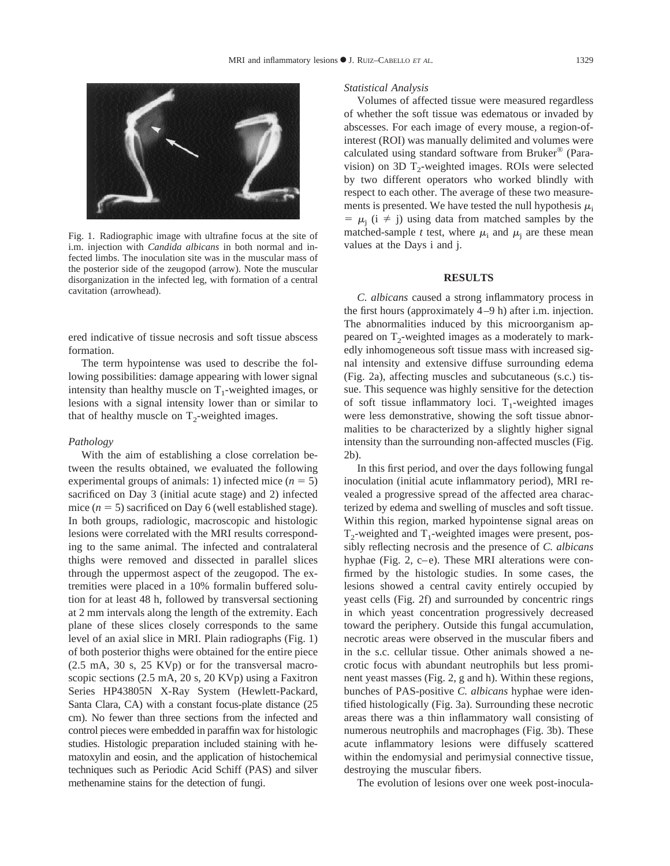

Fig. 1. Radiographic image with ultrafine focus at the site of i.m. injection with *Candida albicans* in both normal and infected limbs. The inoculation site was in the muscular mass of the posterior side of the zeugopod (arrow). Note the muscular disorganization in the infected leg, with formation of a central cavitation (arrowhead).

ered indicative of tissue necrosis and soft tissue abscess formation.

The term hypointense was used to describe the following possibilities: damage appearing with lower signal intensity than healthy muscle on  $T_1$ -weighted images, or lesions with a signal intensity lower than or similar to that of healthy muscle on  $T_2$ -weighted images.

#### *Pathology*

With the aim of establishing a close correlation between the results obtained, we evaluated the following experimental groups of animals: 1) infected mice  $(n = 5)$ sacrificed on Day 3 (initial acute stage) and 2) infected mice  $(n = 5)$  sacrificed on Day 6 (well established stage). In both groups, radiologic, macroscopic and histologic lesions were correlated with the MRI results corresponding to the same animal. The infected and contralateral thighs were removed and dissected in parallel slices through the uppermost aspect of the zeugopod. The extremities were placed in a 10% formalin buffered solution for at least 48 h, followed by transversal sectioning at 2 mm intervals along the length of the extremity. Each plane of these slices closely corresponds to the same level of an axial slice in MRI. Plain radiographs (Fig. 1) of both posterior thighs were obtained for the entire piece (2.5 mA, 30 s, 25 KVp) or for the transversal macroscopic sections (2.5 mA, 20 s, 20 KVp) using a Faxitron Series HP43805N X-Ray System (Hewlett-Packard, Santa Clara, CA) with a constant focus-plate distance (25 cm). No fewer than three sections from the infected and control pieces were embedded in paraffin wax for histologic studies. Histologic preparation included staining with hematoxylin and eosin, and the application of histochemical techniques such as Periodic Acid Schiff (PAS) and silver methenamine stains for the detection of fungi.

## *Statistical Analysis*

Volumes of affected tissue were measured regardless of whether the soft tissue was edematous or invaded by abscesses. For each image of every mouse, a region-ofinterest (ROI) was manually delimited and volumes were calculated using standard software from Bruker® (Paravision) on 3D  $T_2$ -weighted images. ROIs were selected by two different operators who worked blindly with respect to each other. The average of these two measurements is presented. We have tested the null hypothesis  $\mu_i$  $= \mu_i$  (i  $\neq$  j) using data from matched samples by the matched-sample *t* test, where  $\mu_i$  and  $\mu_j$  are these mean values at the Days i and j.

#### **RESULTS**

*C. albicans* caused a strong inflammatory process in the first hours (approximately 4–9 h) after i.m. injection. The abnormalities induced by this microorganism appeared on  $T_2$ -weighted images as a moderately to markedly inhomogeneous soft tissue mass with increased signal intensity and extensive diffuse surrounding edema (Fig. 2a), affecting muscles and subcutaneous (s.c.) tissue. This sequence was highly sensitive for the detection of soft tissue inflammatory loci.  $T_1$ -weighted images were less demonstrative, showing the soft tissue abnormalities to be characterized by a slightly higher signal intensity than the surrounding non-affected muscles (Fig. 2b).

In this first period, and over the days following fungal inoculation (initial acute inflammatory period), MRI revealed a progressive spread of the affected area characterized by edema and swelling of muscles and soft tissue. Within this region, marked hypointense signal areas on  $T_2$ -weighted and  $T_1$ -weighted images were present, possibly reflecting necrosis and the presence of *C. albicans* hyphae (Fig. 2, c–e). These MRI alterations were confirmed by the histologic studies. In some cases, the lesions showed a central cavity entirely occupied by yeast cells (Fig. 2f) and surrounded by concentric rings in which yeast concentration progressively decreased toward the periphery. Outside this fungal accumulation, necrotic areas were observed in the muscular fibers and in the s.c. cellular tissue. Other animals showed a necrotic focus with abundant neutrophils but less prominent yeast masses (Fig. 2, g and h). Within these regions, bunches of PAS-positive *C. albicans* hyphae were identified histologically (Fig. 3a). Surrounding these necrotic areas there was a thin inflammatory wall consisting of numerous neutrophils and macrophages (Fig. 3b). These acute inflammatory lesions were diffusely scattered within the endomysial and perimysial connective tissue, destroying the muscular fibers.

The evolution of lesions over one week post-inocula-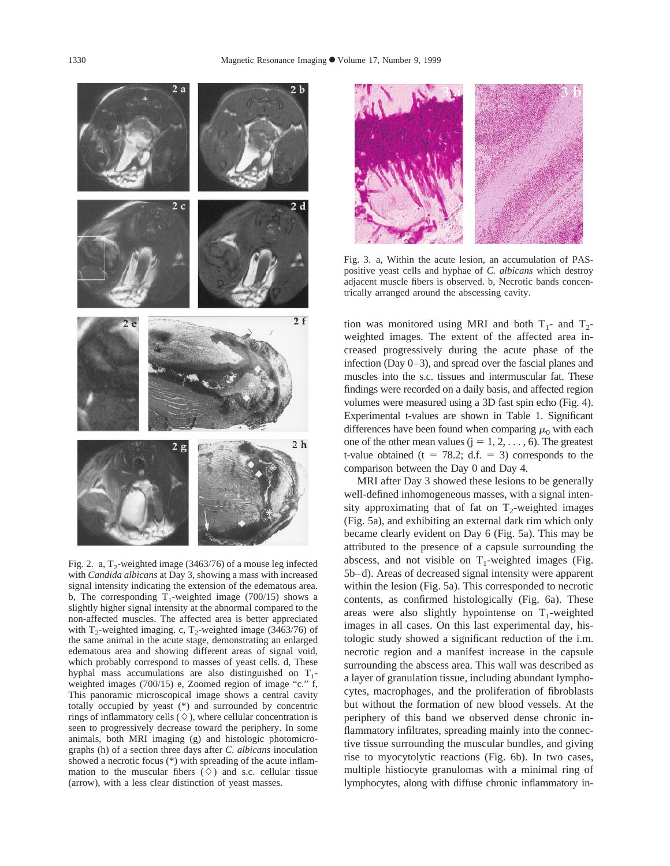

Fig. 2. a,  $T_2$ -weighted image (3463/76) of a mouse leg infected with *Candida albicans* at Day 3, showing a mass with increased signal intensity indicating the extension of the edematous area. b, The corresponding  $T_1$ -weighted image (700/15) shows a slightly higher signal intensity at the abnormal compared to the non-affected muscles. The affected area is better appreciated with  $T_2$ -weighted imaging. c,  $T_2$ -weighted image (3463/76) of the same animal in the acute stage, demonstrating an enlarged edematous area and showing different areas of signal void, which probably correspond to masses of yeast cells. d, These hyphal mass accumulations are also distinguished on  $T_1$ weighted images (700/15) e, Zoomed region of image "c." f, This panoramic microscopical image shows a central cavity totally occupied by yeast (\*) and surrounded by concentric rings of inflammatory cells  $(\Diamond)$ , where cellular concentration is seen to progressively decrease toward the periphery. In some animals, both MRI imaging (g) and histologic photomicrographs (h) of a section three days after *C. albicans* inoculation showed a necrotic focus (\*) with spreading of the acute inflammation to the muscular fibers  $(\Diamond)$  and s.c. cellular tissue (arrow), with a less clear distinction of yeast masses.



Fig. 3. a, Within the acute lesion, an accumulation of PASpositive yeast cells and hyphae of *C. albicans* which destroy adjacent muscle fibers is observed. b, Necrotic bands concentrically arranged around the abscessing cavity.

tion was monitored using MRI and both  $T_1$ - and  $T_2$ weighted images. The extent of the affected area increased progressively during the acute phase of the infection (Day 0–3), and spread over the fascial planes and muscles into the s.c. tissues and intermuscular fat. These findings were recorded on a daily basis, and affected region volumes were measured using a 3D fast spin echo (Fig. 4). Experimental t-values are shown in Table 1. Significant differences have been found when comparing  $\mu_0$  with each one of the other mean values  $(j = 1, 2, \ldots, 6)$ . The greatest t-value obtained ( $t = 78.2$ ; d.f. = 3) corresponds to the comparison between the Day 0 and Day 4.

MRI after Day 3 showed these lesions to be generally well-defined inhomogeneous masses, with a signal intensity approximating that of fat on  $T_2$ -weighted images (Fig. 5a), and exhibiting an external dark rim which only became clearly evident on Day 6 (Fig. 5a). This may be attributed to the presence of a capsule surrounding the abscess, and not visible on  $T_1$ -weighted images (Fig. 5b–d). Areas of decreased signal intensity were apparent within the lesion (Fig. 5a). This corresponded to necrotic contents, as confirmed histologically (Fig. 6a). These areas were also slightly hypointense on  $T_1$ -weighted images in all cases. On this last experimental day, histologic study showed a significant reduction of the i.m. necrotic region and a manifest increase in the capsule surrounding the abscess area. This wall was described as a layer of granulation tissue, including abundant lymphocytes, macrophages, and the proliferation of fibroblasts but without the formation of new blood vessels. At the periphery of this band we observed dense chronic inflammatory infiltrates, spreading mainly into the connective tissue surrounding the muscular bundles, and giving rise to myocytolytic reactions (Fig. 6b). In two cases, multiple histiocyte granulomas with a minimal ring of lymphocytes, along with diffuse chronic inflammatory in-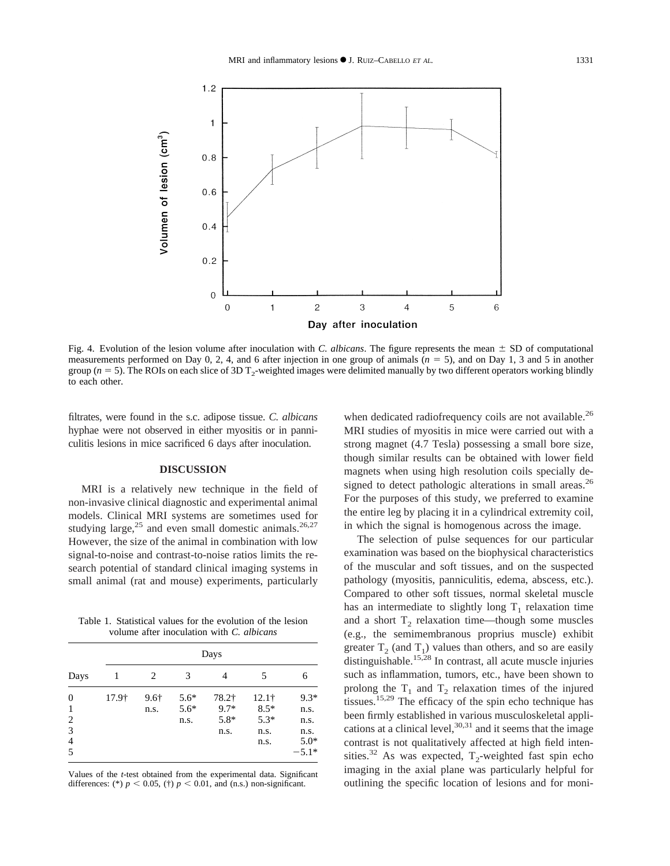

Fig. 4. Evolution of the lesion volume after inoculation with *C. albicans*. The figure represents the mean  $\pm$  SD of computational measurements performed on Day 0, 2, 4, and 6 after injection in one group of animals  $(n = 5)$ , and on Day 1, 3 and 5 in another group ( $n = 5$ ). The ROIs on each slice of 3D T<sub>2</sub>-weighted images were delimited manually by two different operators working blindly to each other.

filtrates, were found in the s.c. adipose tissue. *C. albicans* hyphae were not observed in either myositis or in panniculitis lesions in mice sacrificed 6 days after inoculation.

### **DISCUSSION**

MRI is a relatively new technique in the field of non-invasive clinical diagnostic and experimental animal models. Clinical MRI systems are sometimes used for studying large,<sup>25</sup> and even small domestic animals.<sup>26,27</sup> However, the size of the animal in combination with low signal-to-noise and contrast-to-noise ratios limits the research potential of standard clinical imaging systems in small animal (rat and mouse) experiments, particularly

Table 1. Statistical values for the evolution of the lesion volume after inoculation with *C. albicans*

| Days           | Days  |        |        |        |               |         |
|----------------|-------|--------|--------|--------|---------------|---------|
|                |       | 2      | 3      | 4      | 5             | 6       |
| $\overline{0}$ | 17.9† | $9.6+$ | $5.6*$ | 78.2†  | $12.1\dagger$ | $9.3*$  |
| 1              |       | n.s.   | $5.6*$ | $9.7*$ | $8.5*$        | n.s.    |
| $\overline{2}$ |       |        | n.s.   | $5.8*$ | $5.3*$        | n.s.    |
| 3              |       |        |        | n.s.   | n.s.          | n.s.    |
| $\overline{4}$ |       |        |        |        | n.s.          | $5.0*$  |
| 5              |       |        |        |        |               | $-5.1*$ |

Values of the *t*-test obtained from the experimental data. Significant differences: (\*)  $p < 0.05$ , (†)  $p < 0.01$ , and (n.s.) non-significant.

when dedicated radiofrequency coils are not available.<sup>26</sup> MRI studies of myositis in mice were carried out with a strong magnet (4.7 Tesla) possessing a small bore size, though similar results can be obtained with lower field magnets when using high resolution coils specially designed to detect pathologic alterations in small areas.<sup>26</sup> For the purposes of this study, we preferred to examine the entire leg by placing it in a cylindrical extremity coil, in which the signal is homogenous across the image.

The selection of pulse sequences for our particular examination was based on the biophysical characteristics of the muscular and soft tissues, and on the suspected pathology (myositis, panniculitis, edema, abscess, etc.). Compared to other soft tissues, normal skeletal muscle has an intermediate to slightly long  $T_1$  relaxation time and a short  $T_2$  relaxation time—though some muscles (e.g., the semimembranous proprius muscle) exhibit greater  $T_2$  (and  $T_1$ ) values than others, and so are easily distinguishable.<sup>15,28</sup> In contrast, all acute muscle injuries such as inflammation, tumors, etc., have been shown to prolong the  $T_1$  and  $T_2$  relaxation times of the injured tissues.<sup>15,29</sup> The efficacy of the spin echo technique has been firmly established in various musculoskeletal applications at a clinical level, $30,31$  and it seems that the image contrast is not qualitatively affected at high field intensities.<sup>32</sup> As was expected,  $T_2$ -weighted fast spin echo imaging in the axial plane was particularly helpful for outlining the specific location of lesions and for moni-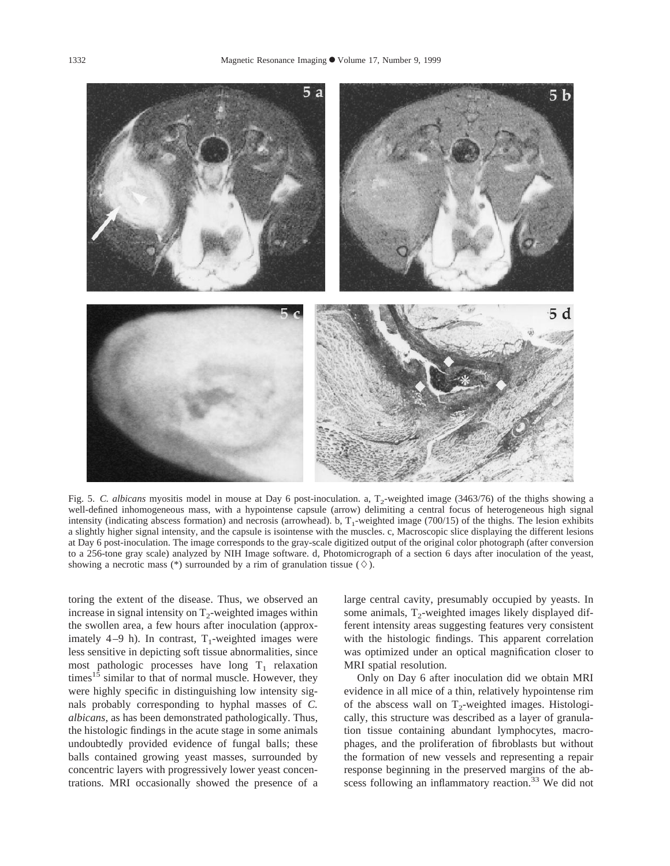

Fig. 5. *C. albicans* myositis model in mouse at Day 6 post-inoculation. a, T<sub>2</sub>-weighted image (3463/76) of the thighs showing a well-defined inhomogeneous mass, with a hypointense capsule (arrow) delimiting a central focus of heterogeneous high signal intensity (indicating abscess formation) and necrosis (arrowhead). b,  $T_1$ -weighted image (700/15) of the thighs. The lesion exhibits a slightly higher signal intensity, and the capsule is isointense with the muscles. c, Macroscopic slice displaying the different lesions at Day 6 post-inoculation. The image corresponds to the gray-scale digitized output of the original color photograph (after conversion to a 256-tone gray scale) analyzed by NIH Image software. d, Photomicrograph of a section 6 days after inoculation of the yeast, showing a necrotic mass (\*) surrounded by a rim of granulation tissue ( $\Diamond$ ).

toring the extent of the disease. Thus, we observed an increase in signal intensity on  $T_2$ -weighted images within the swollen area, a few hours after inoculation (approximately  $4-9$  h). In contrast,  $T_1$ -weighted images were less sensitive in depicting soft tissue abnormalities, since most pathologic processes have long  $T_1$  relaxation  $times<sup>15</sup>$  similar to that of normal muscle. However, they were highly specific in distinguishing low intensity signals probably corresponding to hyphal masses of *C. albicans*, as has been demonstrated pathologically. Thus, the histologic findings in the acute stage in some animals undoubtedly provided evidence of fungal balls; these balls contained growing yeast masses, surrounded by concentric layers with progressively lower yeast concentrations. MRI occasionally showed the presence of a large central cavity, presumably occupied by yeasts. In some animals,  $T_2$ -weighted images likely displayed different intensity areas suggesting features very consistent with the histologic findings. This apparent correlation was optimized under an optical magnification closer to MRI spatial resolution.

Only on Day 6 after inoculation did we obtain MRI evidence in all mice of a thin, relatively hypointense rim of the abscess wall on  $T_2$ -weighted images. Histologically, this structure was described as a layer of granulation tissue containing abundant lymphocytes, macrophages, and the proliferation of fibroblasts but without the formation of new vessels and representing a repair response beginning in the preserved margins of the abscess following an inflammatory reaction.<sup>33</sup> We did not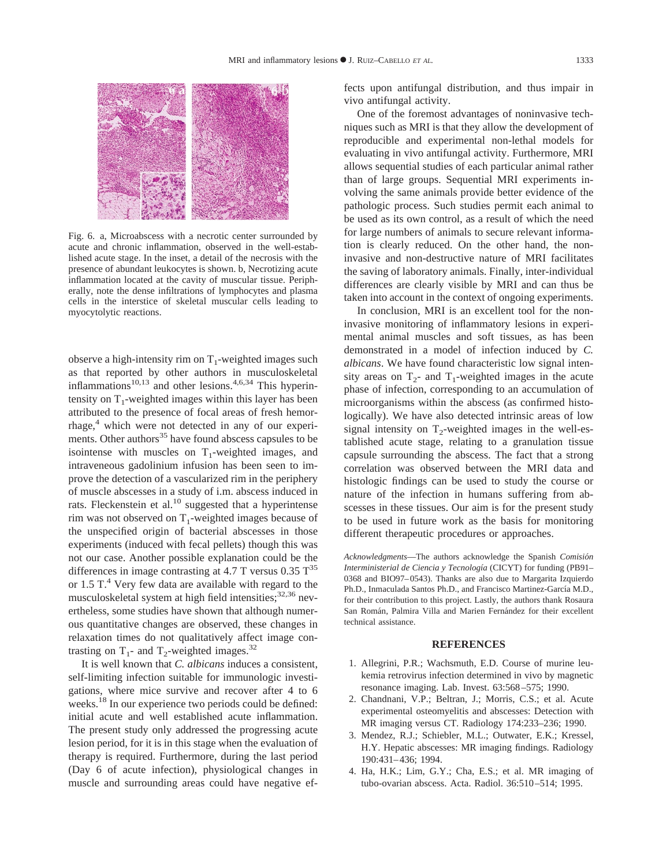

Fig. 6. a, Microabscess with a necrotic center surrounded by acute and chronic inflammation, observed in the well-established acute stage. In the inset, a detail of the necrosis with the presence of abundant leukocytes is shown. b, Necrotizing acute inflammation located at the cavity of muscular tissue. Peripherally, note the dense infiltrations of lymphocytes and plasma cells in the interstice of skeletal muscular cells leading to myocytolytic reactions.

observe a high-intensity rim on  $T_1$ -weighted images such as that reported by other authors in musculoskeletal inflammations<sup>10,13</sup> and other lesions.<sup>4,6,34</sup> This hyperintensity on  $T_1$ -weighted images within this layer has been attributed to the presence of focal areas of fresh hemorrhage, $4$  which were not detected in any of our experiments. Other authors<sup>35</sup> have found abscess capsules to be isointense with muscles on  $T_1$ -weighted images, and intraveneous gadolinium infusion has been seen to improve the detection of a vascularized rim in the periphery of muscle abscesses in a study of i.m. abscess induced in rats. Fleckenstein et al.<sup>10</sup> suggested that a hyperintense rim was not observed on  $T_1$ -weighted images because of the unspecified origin of bacterial abscesses in those experiments (induced with fecal pellets) though this was not our case. Another possible explanation could be the differences in image contrasting at 4.7 T versus  $0.35$  T<sup>35</sup> or  $1.5$  T.<sup>4</sup> Very few data are available with regard to the musculoskeletal system at high field intensities; $32,36$  nevertheless, some studies have shown that although numerous quantitative changes are observed, these changes in relaxation times do not qualitatively affect image contrasting on  $T_1$ - and  $T_2$ -weighted images.<sup>32</sup>

It is well known that *C. albicans* induces a consistent, self-limiting infection suitable for immunologic investigations, where mice survive and recover after 4 to 6 weeks.<sup>18</sup> In our experience two periods could be defined: initial acute and well established acute inflammation. The present study only addressed the progressing acute lesion period, for it is in this stage when the evaluation of therapy is required. Furthermore, during the last period (Day 6 of acute infection), physiological changes in muscle and surrounding areas could have negative effects upon antifungal distribution, and thus impair in vivo antifungal activity.

One of the foremost advantages of noninvasive techniques such as MRI is that they allow the development of reproducible and experimental non-lethal models for evaluating in vivo antifungal activity. Furthermore, MRI allows sequential studies of each particular animal rather than of large groups. Sequential MRI experiments involving the same animals provide better evidence of the pathologic process. Such studies permit each animal to be used as its own control, as a result of which the need for large numbers of animals to secure relevant information is clearly reduced. On the other hand, the noninvasive and non-destructive nature of MRI facilitates the saving of laboratory animals. Finally, inter-individual differences are clearly visible by MRI and can thus be taken into account in the context of ongoing experiments.

In conclusion, MRI is an excellent tool for the noninvasive monitoring of inflammatory lesions in experimental animal muscles and soft tissues, as has been demonstrated in a model of infection induced by *C. albicans*. We have found characteristic low signal intensity areas on  $T_2$ - and  $T_1$ -weighted images in the acute phase of infection, corresponding to an accumulation of microorganisms within the abscess (as confirmed histologically). We have also detected intrinsic areas of low signal intensity on  $T_2$ -weighted images in the well-established acute stage, relating to a granulation tissue capsule surrounding the abscess. The fact that a strong correlation was observed between the MRI data and histologic findings can be used to study the course or nature of the infection in humans suffering from abscesses in these tissues. Our aim is for the present study to be used in future work as the basis for monitoring different therapeutic procedures or approaches.

*Acknowledgments*—The authors acknowledge the Spanish *Comisio´n Interministerial de Ciencia y Tecnología* (CICYT) for funding (PB91– 0368 and BIO97–0543). Thanks are also due to Margarita Izquierdo Ph.D., Inmaculada Santos Ph.D., and Francisco Martinez-García M.D., for their contribution to this project. Lastly, the authors thank Rosaura San Román, Palmira Villa and Marien Fernández for their excellent technical assistance.

#### **REFERENCES**

- 1. Allegrini, P.R.; Wachsmuth, E.D. Course of murine leukemia retrovirus infection determined in vivo by magnetic resonance imaging. Lab. Invest. 63:568–575; 1990.
- 2. Chandnani, V.P.; Beltran, J.; Morris, C.S.; et al. Acute experimental osteomyelitis and abscesses: Detection with MR imaging versus CT. Radiology 174:233–236; 1990.
- 3. Mendez, R.J.; Schiebler, M.L.; Outwater, E.K.; Kressel, H.Y. Hepatic abscesses: MR imaging findings. Radiology 190:431–436; 1994.
- 4. Ha, H.K.; Lim, G.Y.; Cha, E.S.; et al. MR imaging of tubo-ovarian abscess. Acta. Radiol. 36:510–514; 1995.